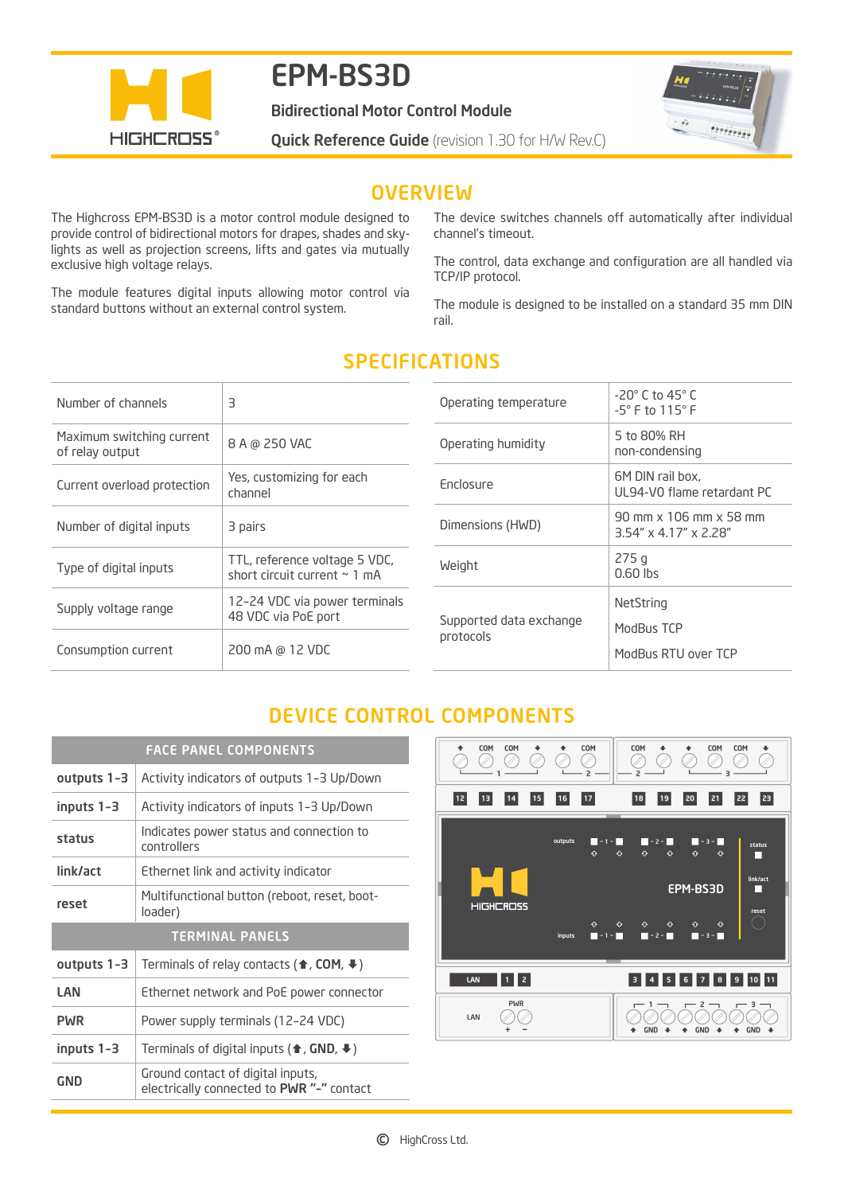

# EPM-BS3D

Bidirectional Motor Control Module

**Quick Reference Guide** (revision 1.30 for H/W Rev.C)



### **OVERVIEW**

The Highcross EPM-BS3D is a motor control module designed to provide control of bidirectional motors for drapes, shades and skylights as well as projection screens, lifts and gates via mutually exclusive high voltage relays.

The module features digital inputs allowing motor control via standard buttons without an external control system.

The device switches channels off automatically after individual channel's timeout.

The control, data exchange and configuration are all handled via TCP/IP protocol.

The module is designed to be installed on a standard 35 mm DIN rail.

| Number of channels                           | З                                                                  |
|----------------------------------------------|--------------------------------------------------------------------|
| Maximum switching current<br>of relay output | 8 A @ 250 VAC                                                      |
| Current overload protection                  | Yes, customizing for each<br>channel                               |
| Number of digital inputs                     | 3 pairs                                                            |
| Type of digital inputs                       | TTL, reference voltage 5 VDC,<br>short circuit current $\sim 1$ mA |
| Supply voltage range                         | 12-24 VDC via power terminals<br>48 VDC via PoE port               |
| Consumption current                          | 200 mA @ 12 VDC                                                    |

## SPECIFICATIONS

| $-20^\circ$ C to 45 $^\circ$ C<br>$-5^{\circ}$ F to $115^{\circ}$ F                                |
|----------------------------------------------------------------------------------------------------|
| 5 to 80% RH<br>non-condensing                                                                      |
| 6M DIN rail box,<br>UL94-VO flame retardant PC                                                     |
| $90 \text{ mm} \times 106 \text{ mm} \times 58 \text{ mm}$<br>$3.54'' \times 4.17'' \times 2.28''$ |
| 275g<br>$0.60$ lbs                                                                                 |
| NetString<br>ModBus TCP<br>ModBus RTU over TCP                                                     |
|                                                                                                    |

# DEVICE CONTROL COMPONENTS

| <b>FACE PANEL COMPONENTS</b> |                                                                          |
|------------------------------|--------------------------------------------------------------------------|
| outputs 1-3                  | Activity indicators of outputs 1-3 Up/Down                               |
| inputs 1-3                   | Activity indicators of inputs 1-3 Up/Down                                |
| status                       | Indicates power status and connection to<br>controllers                  |
| link/act                     | Ethernet link and activity indicator                                     |
| reset                        | Multifunctional button (reboot, reset, boot-<br>loader)                  |
|                              |                                                                          |
|                              | <b>TERMINAL PANELS</b>                                                   |
| outputs 1-3                  | Terminals of relay contacts ( $\triangle$ , COM, $\blacktriangleright$ ) |
| LAN                          | Ethernet network and PoE power connector                                 |
| <b>PWR</b>                   | Power supply terminals (12-24 VDC)                                       |
| inputs 1-3                   | Terminals of digital inputs ( $\bigoplus$ , GND, $\bigoplus$ )           |